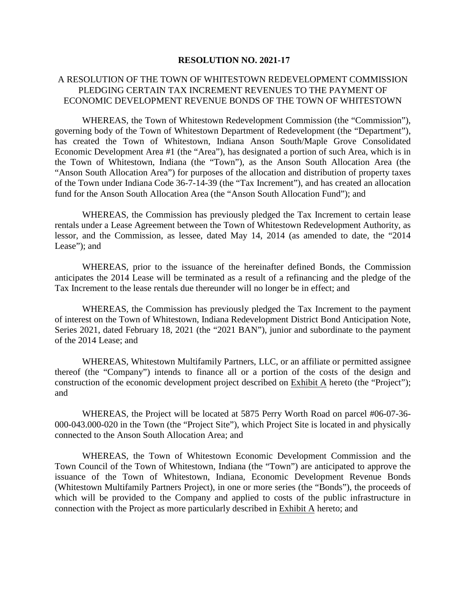#### **RESOLUTION NO. 2021-17**

## A RESOLUTION OF THE TOWN OF WHITESTOWN REDEVELOPMENT COMMISSION PLEDGING CERTAIN TAX INCREMENT REVENUES TO THE PAYMENT OF ECONOMIC DEVELOPMENT REVENUE BONDS OF THE TOWN OF WHITESTOWN

WHEREAS, the Town of Whitestown Redevelopment Commission (the "Commission"), governing body of the Town of Whitestown Department of Redevelopment (the "Department"), has created the Town of Whitestown, Indiana Anson South/Maple Grove Consolidated Economic Development Area #1 (the "Area"), has designated a portion of such Area, which is in the Town of Whitestown, Indiana (the "Town"), as the Anson South Allocation Area (the "Anson South Allocation Area") for purposes of the allocation and distribution of property taxes of the Town under Indiana Code 36-7-14-39 (the "Tax Increment"), and has created an allocation fund for the Anson South Allocation Area (the "Anson South Allocation Fund"); and

WHEREAS, the Commission has previously pledged the Tax Increment to certain lease rentals under a Lease Agreement between the Town of Whitestown Redevelopment Authority, as lessor, and the Commission, as lessee, dated May 14, 2014 (as amended to date, the "2014 Lease"); and

WHEREAS, prior to the issuance of the hereinafter defined Bonds, the Commission anticipates the 2014 Lease will be terminated as a result of a refinancing and the pledge of the Tax Increment to the lease rentals due thereunder will no longer be in effect; and

WHEREAS, the Commission has previously pledged the Tax Increment to the payment of interest on the Town of Whitestown, Indiana Redevelopment District Bond Anticipation Note, Series 2021, dated February 18, 2021 (the "2021 BAN"), junior and subordinate to the payment of the 2014 Lease; and

WHEREAS, Whitestown Multifamily Partners, LLC, or an affiliate or permitted assignee thereof (the "Company") intends to finance all or a portion of the costs of the design and construction of the economic development project described on Exhibit A hereto (the "Project"); and

WHEREAS, the Project will be located at 5875 Perry Worth Road on parcel #06-07-36- 000-043.000-020 in the Town (the "Project Site"), which Project Site is located in and physically connected to the Anson South Allocation Area; and

WHEREAS, the Town of Whitestown Economic Development Commission and the Town Council of the Town of Whitestown, Indiana (the "Town") are anticipated to approve the issuance of the Town of Whitestown, Indiana, Economic Development Revenue Bonds (Whitestown Multifamily Partners Project), in one or more series (the "Bonds"), the proceeds of which will be provided to the Company and applied to costs of the public infrastructure in connection with the Project as more particularly described in Exhibit A hereto; and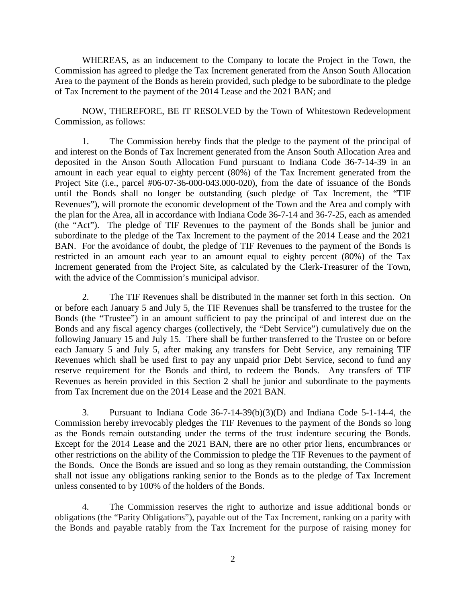WHEREAS, as an inducement to the Company to locate the Project in the Town, the Commission has agreed to pledge the Tax Increment generated from the Anson South Allocation Area to the payment of the Bonds as herein provided, such pledge to be subordinate to the pledge of Tax Increment to the payment of the 2014 Lease and the 2021 BAN; and

NOW, THEREFORE, BE IT RESOLVED by the Town of Whitestown Redevelopment Commission, as follows:

1. The Commission hereby finds that the pledge to the payment of the principal of and interest on the Bonds of Tax Increment generated from the Anson South Allocation Area and deposited in the Anson South Allocation Fund pursuant to Indiana Code 36-7-14-39 in an amount in each year equal to eighty percent (80%) of the Tax Increment generated from the Project Site (i.e., parcel #06-07-36-000-043.000-020), from the date of issuance of the Bonds until the Bonds shall no longer be outstanding (such pledge of Tax Increment, the "TIF Revenues"), will promote the economic development of the Town and the Area and comply with the plan for the Area, all in accordance with Indiana Code 36-7-14 and 36-7-25, each as amended (the "Act"). The pledge of TIF Revenues to the payment of the Bonds shall be junior and subordinate to the pledge of the Tax Increment to the payment of the 2014 Lease and the 2021 BAN. For the avoidance of doubt, the pledge of TIF Revenues to the payment of the Bonds is restricted in an amount each year to an amount equal to eighty percent (80%) of the Tax Increment generated from the Project Site, as calculated by the Clerk-Treasurer of the Town, with the advice of the Commission's municipal advisor.

2. The TIF Revenues shall be distributed in the manner set forth in this section. On or before each January 5 and July 5, the TIF Revenues shall be transferred to the trustee for the Bonds (the "Trustee") in an amount sufficient to pay the principal of and interest due on the Bonds and any fiscal agency charges (collectively, the "Debt Service") cumulatively due on the following January 15 and July 15. There shall be further transferred to the Trustee on or before each January 5 and July 5, after making any transfers for Debt Service, any remaining TIF Revenues which shall be used first to pay any unpaid prior Debt Service, second to fund any reserve requirement for the Bonds and third, to redeem the Bonds. Any transfers of TIF Revenues as herein provided in this Section 2 shall be junior and subordinate to the payments from Tax Increment due on the 2014 Lease and the 2021 BAN.

3. Pursuant to Indiana Code 36-7-14-39(b)(3)(D) and Indiana Code 5-1-14-4, the Commission hereby irrevocably pledges the TIF Revenues to the payment of the Bonds so long as the Bonds remain outstanding under the terms of the trust indenture securing the Bonds. Except for the 2014 Lease and the 2021 BAN, there are no other prior liens, encumbrances or other restrictions on the ability of the Commission to pledge the TIF Revenues to the payment of the Bonds. Once the Bonds are issued and so long as they remain outstanding, the Commission shall not issue any obligations ranking senior to the Bonds as to the pledge of Tax Increment unless consented to by 100% of the holders of the Bonds.

4. The Commission reserves the right to authorize and issue additional bonds or obligations (the "Parity Obligations"), payable out of the Tax Increment, ranking on a parity with the Bonds and payable ratably from the Tax Increment for the purpose of raising money for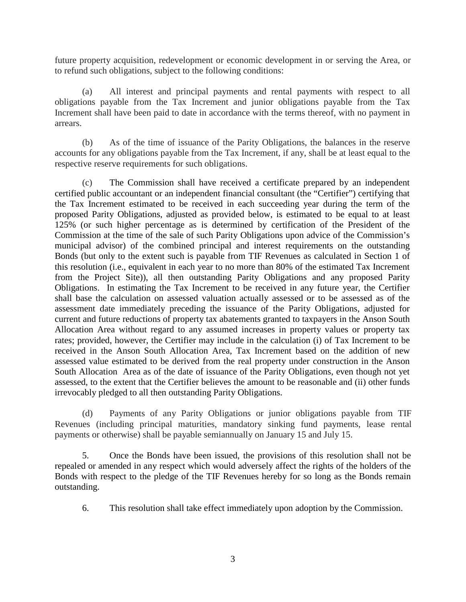future property acquisition, redevelopment or economic development in or serving the Area, or to refund such obligations, subject to the following conditions:

(a) All interest and principal payments and rental payments with respect to all obligations payable from the Tax Increment and junior obligations payable from the Tax Increment shall have been paid to date in accordance with the terms thereof, with no payment in arrears.

(b) As of the time of issuance of the Parity Obligations, the balances in the reserve accounts for any obligations payable from the Tax Increment, if any, shall be at least equal to the respective reserve requirements for such obligations.

(c) The Commission shall have received a certificate prepared by an independent certified public accountant or an independent financial consultant (the "Certifier") certifying that the Tax Increment estimated to be received in each succeeding year during the term of the proposed Parity Obligations, adjusted as provided below, is estimated to be equal to at least 125% (or such higher percentage as is determined by certification of the President of the Commission at the time of the sale of such Parity Obligations upon advice of the Commission's municipal advisor) of the combined principal and interest requirements on the outstanding Bonds (but only to the extent such is payable from TIF Revenues as calculated in Section 1 of this resolution (i.e., equivalent in each year to no more than 80% of the estimated Tax Increment from the Project Site)), all then outstanding Parity Obligations and any proposed Parity Obligations. In estimating the Tax Increment to be received in any future year, the Certifier shall base the calculation on assessed valuation actually assessed or to be assessed as of the assessment date immediately preceding the issuance of the Parity Obligations, adjusted for current and future reductions of property tax abatements granted to taxpayers in the Anson South Allocation Area without regard to any assumed increases in property values or property tax rates; provided, however, the Certifier may include in the calculation (i) of Tax Increment to be received in the Anson South Allocation Area, Tax Increment based on the addition of new assessed value estimated to be derived from the real property under construction in the Anson South Allocation Area as of the date of issuance of the Parity Obligations, even though not yet assessed, to the extent that the Certifier believes the amount to be reasonable and (ii) other funds irrevocably pledged to all then outstanding Parity Obligations.

(d) Payments of any Parity Obligations or junior obligations payable from TIF Revenues (including principal maturities, mandatory sinking fund payments, lease rental payments or otherwise) shall be payable semiannually on January 15 and July 15.

5. Once the Bonds have been issued, the provisions of this resolution shall not be repealed or amended in any respect which would adversely affect the rights of the holders of the Bonds with respect to the pledge of the TIF Revenues hereby for so long as the Bonds remain outstanding.

6. This resolution shall take effect immediately upon adoption by the Commission.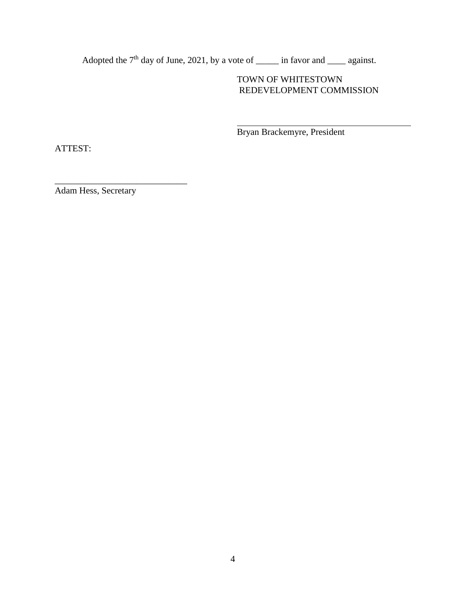Adopted the  $7<sup>th</sup>$  day of June, 2021, by a vote of \_\_\_\_\_\_ in favor and \_\_\_\_\_ against.

# TOWN OF WHITESTOWN REDEVELOPMENT COMMISSION

Bryan Brackemyre, President

ATTEST:

Adam Hess, Secretary

\_\_\_\_\_\_\_\_\_\_\_\_\_\_\_\_\_\_\_\_\_\_\_\_\_\_\_\_\_